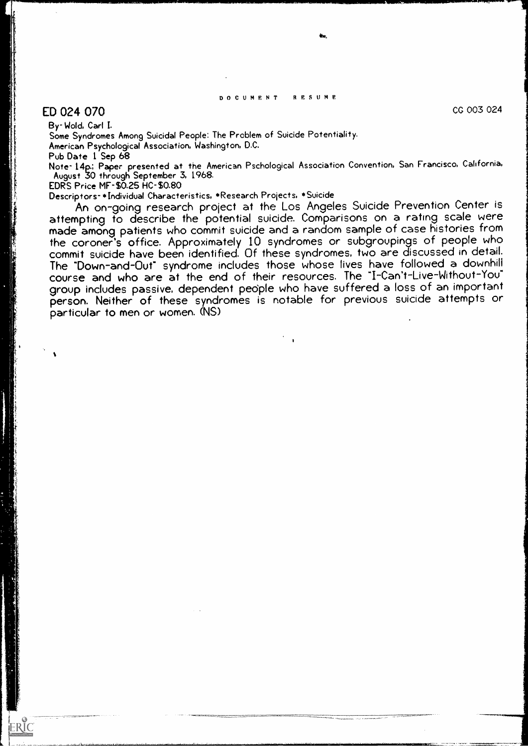#### DOCUMENT RESUME

## $ED$  024 070  $CC$  003 024  $CC$

ERIC

By- Wold, Carl I.

Some Syndromes Among Suicidal People: The Problem of Suicide Potentiality. American Psychological Association, Washington, D.C.

Pub Date 1 Sep 68

Note- 14p.; Paper presented at the American Pschological Association Convention, San Francisco, California, August 30 through September 3, 1968.

EDRS Price MF-\$0.25 HC-\$0.80

Descriptors- \*Individual Characteristics, \*Research Projects, \*Suicide

An on-going research project at the Los Angeles Suicide Prevention Center is attempting to describe the potential suicide. Comparisons on a rating scale were made among patients who commit suicide and a random sample of case histories from the coroner's office. Approximately 10 syndromes or subgroupings of people who commit suicide have been identified. Of these syndromes, two are discussed in detail. The "Down-and-Out" syndrome includes those whose lives have followed a downhill course and who are at the end of their resources. The "I-Can't-Live-Without-You" group includes passive, dependent pedple who have suffered a loss of an important person. Neither of these syndromes is notable for previous suicide attempts or particular to men or women. (NS)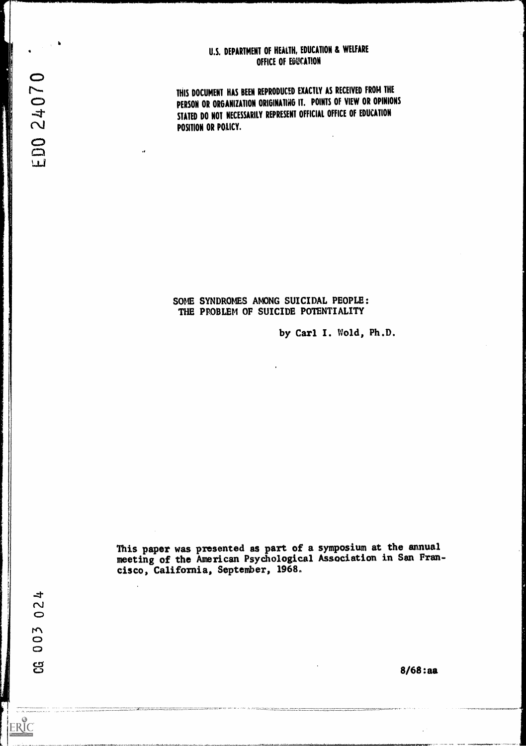#### U.S. DEPARTMENT OF HEALTH, EDUCATION & WELFARE OFFICE OF EDUCATION

THIS DOCUMENT HAS BEEN REPRODUCED EXACTLY AS RECEIVED FROM THE PERSON OR ORGANIZATION ORIGINATING IT. POINTS OF VIEW OR OPINIONS STATED DO NOT NECESSARILY REPRESENT OFFICIAL OFFICE Of EDUCATION POSITION OR POLICY.

### SOME SYNDROMES AMONG SUICIDAL PEOPLE: THE PPOBLEM OF SUICIDE POTENTIALITY

by Carl I. Wold, Ph.D.

This paper was presented as part of a symposium at the annual meeting of the American Psychological Association in Sen Francisco, California, September, 1968.

8/68:aa

ED0 24070

 $\rightarrow$  $\sim$  $\bigcirc$ 

003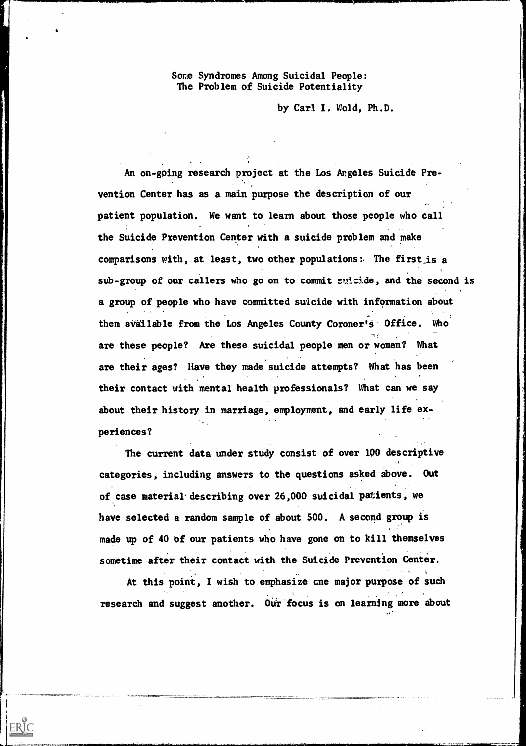Some Syndromes Among Suicidal People: The Problem of Suicide Potentiality

by Carl I. Wold, Ph.D.

An on-going research project at the Los Angeles Suicide Prevention Center has as a main purpose the description of our patient population. We want to learn about those people who call the Suicide Prevention Center with a suicide problem and make comparisons with, at least, two other populations:. The first,is a sub-group of our callers who go on to commit suicide, and the second is a group of people who have committed suicide with information about them available from the Los Angeles County Coroner's Office. Who are these people? Are these suicidal people men or women? What are their ages? Have they made suicide attempts? What has been their contact with mental health professionals? What can we say about their history in marriage, employment, and early life experiences?

The current data under study consist of over 100 descriptive categories, including answers to the questions asked above. Out of case material describing over 26,000 suicidal patients, we have selected a random sample of about SOO. A second group is made up of 40 of our patients who have gone on to kill themselves sometime after their contact with the Suicide Prevention Center.

At this point, I wish to emphasize one major purpose of such research and suggest another. Our focus is on learning more about

ERIC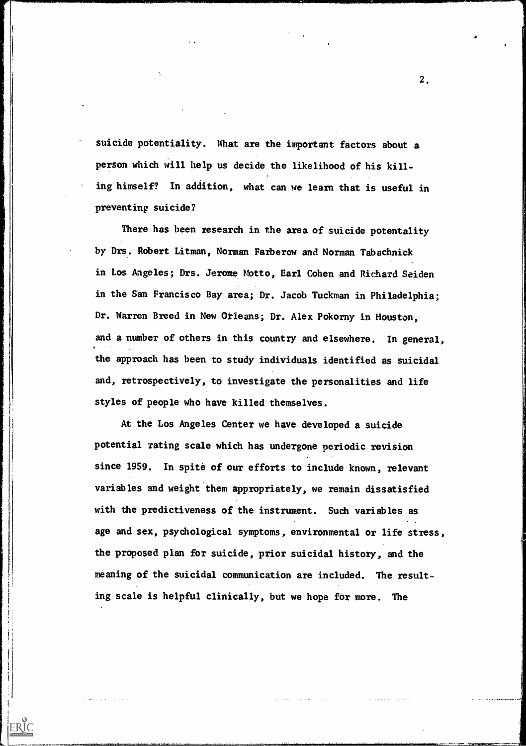suicide potentiality. What are the important factors about a person which will help us decide the likelihood of his killing himself? In addition, what can we learn that is useful in preventing suicide?

There has been research in the area of suicide potentality by Drs. Robert Litman, Norman Farberow and Norman Tabachnick in Los Angeles; Drs. Jerome Motto, Earl Cohen and Richard Seiden in the San Francisco Bay area; Dr. Jacob Tuckman in Philadelphia; Dr. Warren Breed in New Orleans; Dr. Alex Pokorny in Houston, and a number of others in this country and elsewhere. In general, the approach has been to study individuals identified as suicidal and, retrospectively, to investigate the personalities and life styles of people who have killed themselves.

At the Los Angeles Center we have developed a suicide potential rating scale which has undergone periodic revision since 1959. In spite of our efforts to include known, relevant variables and weight them appropriately, we remain dissatisfied with the predictiveness of the instrument. Such variables as age and sex, psychological symptoms, environmental or life stress, the proposed plan for suicide, prior suicidal history, and the meaning of the suicidal communication are included. The resulting scale is helpful clinically, but we hope for more. The

ERIC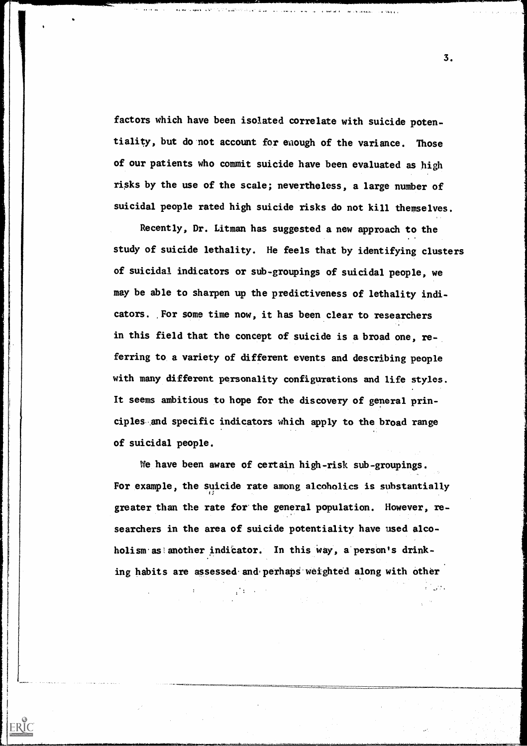factors which have been isolated correlate with suicide potentiality, but do not account for enough of the variance. Those of our patients who commit suicide have been evaluated as high risks by the use of the scale; nevertheless, a large number of suicidal people rated high suicide risks do not kill themselves.

।<br>ग्वास्टा अल्लाका एक गाउँ सम्बन्धस्य साधिकार्यस्य अस्ति । अस्ति अधिकार्यस्य साधिकार्यस्य साधिकार्यस्य अस्ति ।

**AND AREAMENT SAVE WAS CITED** 

Recently, Dr. Litman has suggested a new approach to the study of suicide lethality. He feels that by identifying clusters of suicidal indicators or sub-groupings of suicidal people, we may be able to sharpen up the predictiveness of lethality indicators. For some time now, it has been clear to researchers in this field that the concept of suicide is a broad one, referring to a variety of different events and describing people with many different personality configurations and life styles. It seems ambitious to hope for the discovery of general principles and specific indicators which apply to the broad range of suicidal people.

We have been aware of certain high-risk sub-groupings. For example, the suicide rate among alcoholics is substantially greater than the rate for the general population. However, researchers in the area of suicide potentiality have used alcoholism as another indicator. In this way, a person's drinking habits are assessed and perhaps weighted along with other

ERIC

3.

 $\mathcal{E} = \{ \mathcal{E} \}_{\mathcal{E}}$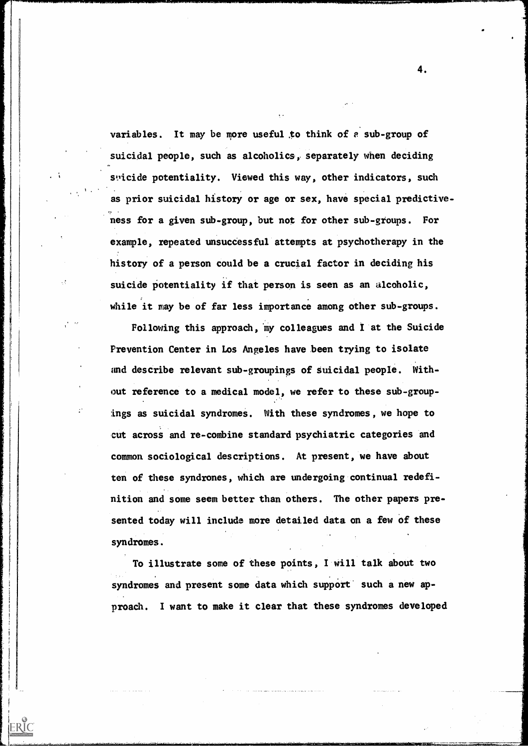variables. It may be more useful,to think of e sub-group of suicidal people, such as alcoholics, separately when deciding stilicide potentiality. Viewed this way, other indicators, such as prior suicidal history or age or sex, have special predictive- ness for a given sub-group, but not for other sub-groups. For example, repeated unsuccessful attempts at psychotherapy in the history of a person could be a crucial factor in deciding his suicide potentiality if that person is seen as an alcoholic, while it may be of far less importance among other sub-groups.

Following this approach, my colleagues and I at the Suicide Prevention Center in Los Angeles have been trying to isolate and describe relevant sub-groupings of suicidal people. Without reference to a medical model, we refer to these sub-groupings as suicidal syndromes. With these syndromes, we hope to cut across and re-combine standard psychiatric categories and common sociological descriptions. At present, we have about ten of these syndrones, which are undergoing continual redefinition and some seem better than others. The other papers presented today will include more detailed data on a few of these syndromes.

To illustrate some of these points, I will talk about two syndromes and present some data which support such a new approach. I want to make it clear that these syndromes developed

ERIC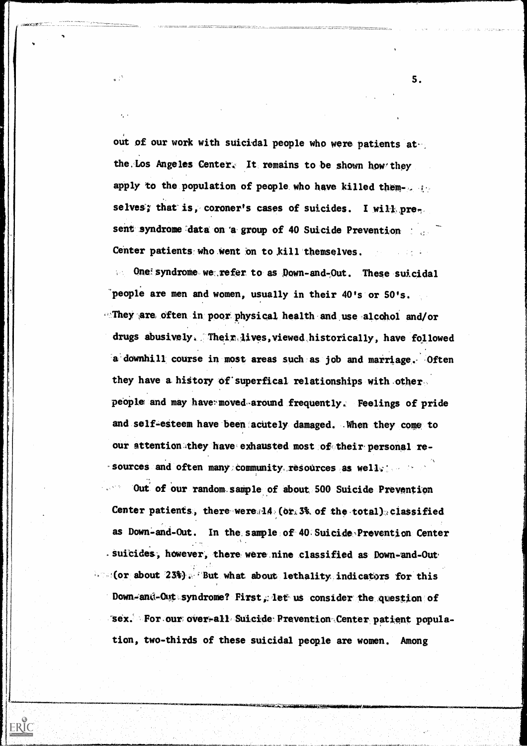out of our work with suicidal people who were patients atthe Los Angeles Center. It remains to be shown how they apply to the population of people who have killed themselves; that is, coroner's cases of suicides. I will pres. sent syndrome data on 'a group of 40 Suicide Prevention Center patients who went on to kill themselves.

ວ່∶້

 $\cdot$ .

ERIC

One syndrome we refer to as Down-and-Out. These suicidal  $\mathcal{L}_{\text{max}}$ people are men and women, usually in their 40's or 50's. They are often in poor physical health and use alcchol and/or drugs abusively. Their lives, viewed historically, have followed a downhill course in most areas such as job and marriage. Often they have a history of superfical relationships with other. people and may have moved around frequently. Feelings of pride and self-esteem have been acutely. damaged. .When they come to our attention they have exhausted most of their personal re- $-$  sources and often many community resources as well:  $-$ 

Out of our random sample of about 500 Suicide Prevention Center patients, there were.14 (or. 3% of the total) classified as Down-and-Out. In the sample of 40 Suicide Prevention Center suicides, however, there were nine classified as Down-and-Out.  $=$  (or about 23%). But what about lethality indicators for this Down-anti-Out syndrome? First, let us consider the question of Sex. For our over-all Suicide Prevention Center patient population, two-thirds of these suicidal people are women. Among

S.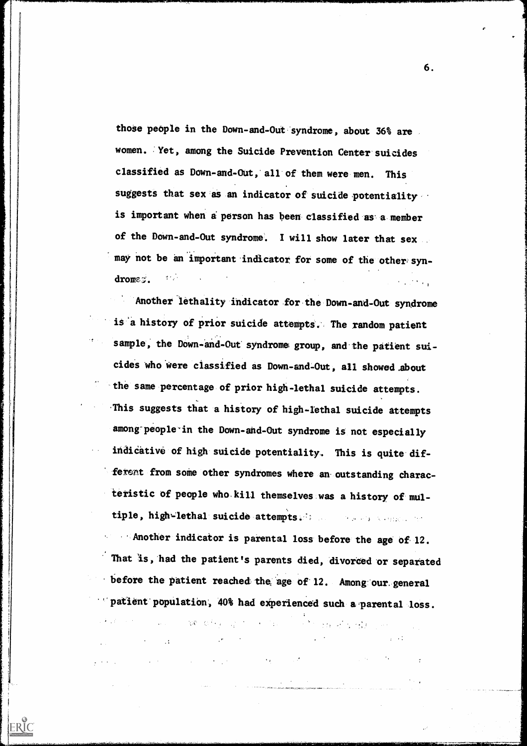those people in the Down-and-Out syndrome, about 36% are women. Yet, among the Suicide Prevention Center suicides classified as Down-and-Out, all of them were men. This suggests that sex as an indicator of suicide potentiality is important when a person has been classified as a member of the Down-and-Out syndrome. I will show later that sex may not be an important indicator for some of the other syndromeg. nsiya.<br>Tarix

Another lethality indicator for the Down-and-Out syndrome is 'a history of prior suicide attempts. The random patient sample, the Down-and-Out syndrome group, and the patient suicides who were classified as Down-and-Out, all showed .about the same percentage of prior high-lethal suicide attempts. 'This suggests that a history of high-iethal suicide attempts among- people in the Down-and-Out syndrome is not especial ly indicative of high suicide potentiality. This is quite different from some other syndromes where an outstanding characteristic of people who kill themselves was a history of multiple, high-lethal suicide attempts. The seasons are the

Another indicator is parental loss before the age of. 12. That is, had the patient's parents died, divorced or separated before the patient reached the age of 12. Among our general patient population, 40% had experienced such a parental loss.

**一般的女子,** 一个人

 $\label{eq:2.1} \mathcal{L}(\mathcal{F},\mathcal{L}(\mathcal{E})) = \mathcal{L}(\mathcal{E}(\mathcal{E})) = \mathcal{L}(\mathcal{E}(\mathcal{E}))$ 

 $\mathcal{L}^{\text{max}}_{\text{max}}$  and  $\mathcal{L}^{\text{max}}_{\text{max}}$ 

ERIC

 $\mathcal{L}_{\text{max}}$  and  $\mathcal{L}_{\text{max}}$  and  $\mathcal{L}_{\text{max}}$  and  $\mathcal{L}_{\text{max}}$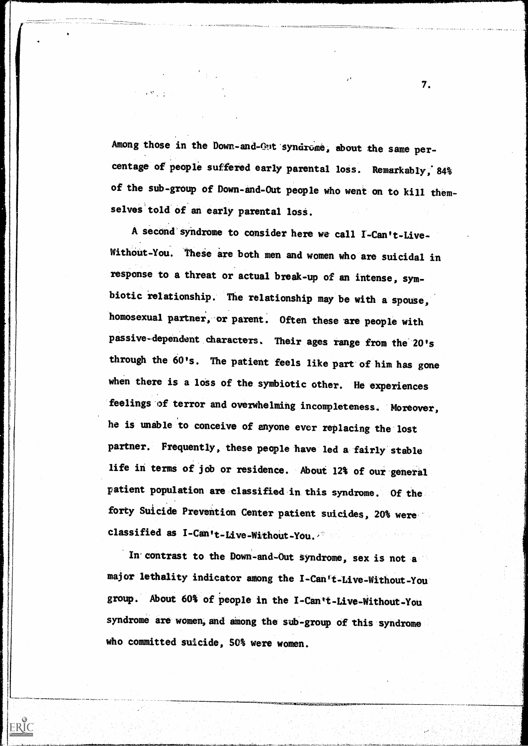Among those in the Down-and-Out syndrome, about the same percentage of people suffered early parental loss. Remarkably, 84% of the sub-group of Down-and-Out people who went on to kill themselves told of an early parental loss.

 $\label{eq:2.1} \frac{d\mathbf{r}}{d\mathbf{r}} = \frac{1}{2} \left[ \frac{1}{2} \left( \frac{\partial \mathbf{r}}{\partial \mathbf{r}} + \frac{\partial \mathbf{r}}{\partial \mathbf{r}} \right) \right] \mathbf{r} \cdot \mathbf{r} \cdot \mathbf{r} \cdot \mathbf{r} \cdot \mathbf{r} \cdot \mathbf{r} \cdot \mathbf{r} \cdot \mathbf{r} \cdot \mathbf{r} \cdot \mathbf{r} \cdot \mathbf{r} \cdot \mathbf{r} \cdot \mathbf{r} \cdot \mathbf{r} \cdot \mathbf{r} \cdot \mathbf{r} \cdot \$ 

A second syndrome to consider here we call I-Can't-Live-Without-You. These are both men and women who are suicidal in response to a threat or actual break-up of an intense, symbiotic relationship. The relationship may be with a spouse, homosexual partner, or parent. Often these are people with passive-dependent characters. Their ages range from the 20's through the 60's. The patient feels like part of him has gone when there is a loss of the symbiotic other. He experiences feelings of terror and overwhelming incompleteness. Moreover, he is unable to conceive of anyone ever replacing the lost partner. Frequently, these people have led a fairly stable life in terms of job or residence. About 12% of our general patient population are classified in this syndrome. Of the forty Suicide Prevention Center patient suicides, 20% were classified as  $I-Can't-Live-Without-You.$ 

In contrast to the Down-and-Out syndrome, sex is not a major lethality indicator among the I-Can't-Live-Without-You group. About 60% of people in the 1-Can't-Live-Without-You syndrome are women, and among the sub-group of this syndrome who committed suicide, SO% were women.

/,......\*

ERIC

7.

, . .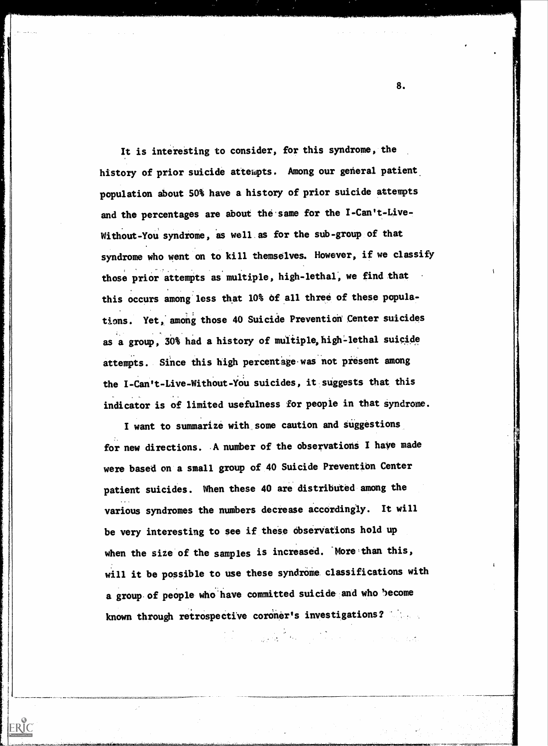It is interesting to consider, for this syndrome, the history of prior suicide attempts. Among our general patient population about 50% have a history of prior suicide attempts and the percentages are about the same for the I-Can't-Live-Without-You syndrome, as well as for the sub-group of that syndrome who went on to kill themselves. However, if we classify those prior attempts as multiple, high-lethal, we find that this occurs among less that 10% of all three of these populations. Yet, among those 40 Suicide Prevention Center suicides as a group, 30% had a history of multiple, high-lethal suicide attempts. Since this high percentage was not present among the I-Can't-Live-Without-YOu suicides, it suggests that this indicator is of limited usefulness for peopie in that syndrome.

I want to summarize with some caution and suggestions for new directions. A number of the observations I have made were based on a small group of 40 Suicide Prevention Center patient suicides. When these 40 are distributed among the various syndromes the numbers decrease accordingly. It will be very interesting to see if these observations hold up when the size of the samples is increased. More than this, will it be possible to use these syndrome classifications with a group of people who have committed suicide and who become known through retrospective coroner's investigations?

ERIC

in the control of the control of the control of the control of the control of the control of the control of th<br>1990 - Control of the control of the control of the control of the control of the control of the control of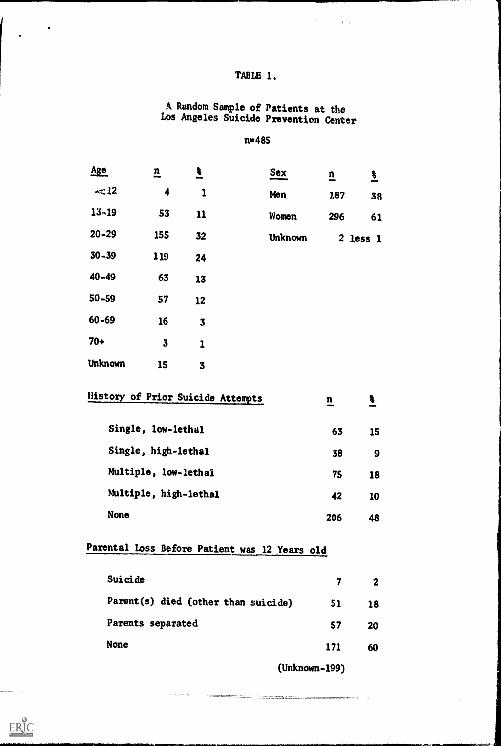## TABLE 1.

 $\mathcal{L}_{\mathcal{A}}$ 

 $\boxed{\prod\limits_{\text{A}}\prod\limits_{\text{Full East Provided by EHC}}}$ 

 $\hat{\mathbf{v}}$  .

#### A Random Sample of Patients at the Los Angeles Suicide Prevention Center

#### n=485

| <u>Age</u>     | $\mathbf{n}$                             | $\ddot{\bm{z}}$         | Sex            | $\overline{u}$          | $\frac{3}{2}$           |  |
|----------------|------------------------------------------|-------------------------|----------------|-------------------------|-------------------------|--|
| $\ll 12$       | 4                                        | $\mathbf{1}$            | <b>Men</b>     | 187                     | 38                      |  |
| $13 - 19$      | 53                                       | 11                      | <b>Women</b>   | 296                     | 61                      |  |
| $20 - 29$      | 155                                      | 32                      | <b>Unknown</b> |                         | $2$ less $1$            |  |
| $30 - 39$      | 119                                      | 24                      |                |                         |                         |  |
| $40 - 49$      | 63                                       | 13                      |                |                         |                         |  |
| $50 - 59$      | 57                                       | 12                      |                |                         |                         |  |
| $60 - 69$      | 16                                       | $\overline{\mathbf{3}}$ |                |                         |                         |  |
| $70+$          | $\overline{\mathbf{3}}$                  | $\mathbf{I}$            |                |                         |                         |  |
| <b>Unknown</b> | 15                                       | $\overline{\mathbf{3}}$ |                |                         |                         |  |
|                | <b>History of Prior Suicide Attempts</b> |                         |                | $\overline{\mathbf{n}}$ | $\overline{\mathbf{r}}$ |  |
|                | Single, low-lethal                       |                         |                | 63                      | 15                      |  |
|                | Single, high-lethal                      |                         |                | 38                      | 9                       |  |
|                | Multiple, low-lethal                     |                         |                | 75                      | 18                      |  |
|                | Multiple, high-lethal                    |                         |                | 42                      | 10                      |  |
|                | None                                     |                         |                | 206                     | 48                      |  |
|                |                                          |                         |                |                         |                         |  |

# Parental Loss Before Patient was 12 Years old

| Suicide                             | 7   | $\mathbf{2}$ |  |
|-------------------------------------|-----|--------------|--|
| Parent(s) died (other than suicide) | 51  | 18           |  |
| Parents separated                   | 57  | 20           |  |
| <b>None</b>                         | 171 | 60           |  |

(Unknown-199)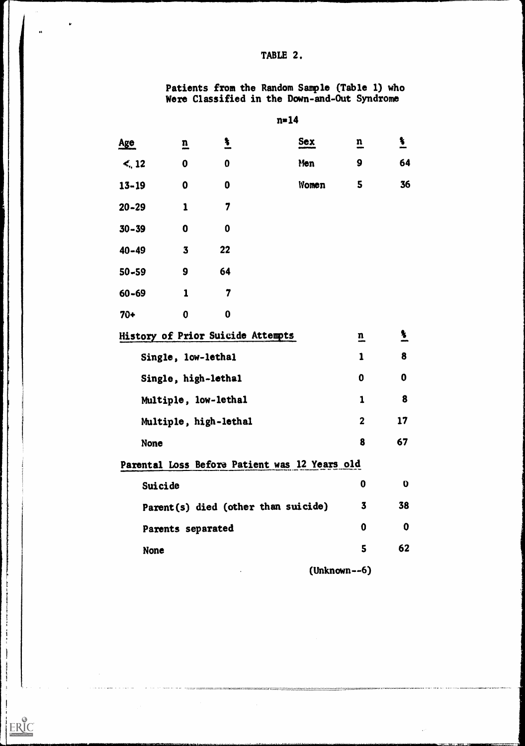### TABLE 2.

 $\ddot{\phantom{1}}$ 

 $\pmb{\nu}$ 

 $\bar{\psi}$ 

 $\label{eq:1} \begin{split} \mathcal{L}_{\text{max}}(\mathbf{x}) & = \mathcal{L}_{\text{max}}(\mathbf{x}) + \mathcal{L}_{\text{max}}(\mathbf{x}) + \mathcal{L}_{\text{max}}(\mathbf{x}) + \mathcal{L}_{\text{max}}(\mathbf{x}) + \mathcal{L}_{\text{max}}(\mathbf{x}) + \mathcal{L}_{\text{max}}(\mathbf{x}) + \mathcal{L}_{\text{max}}(\mathbf{x}) + \mathcal{L}_{\text{max}}(\mathbf{x}) + \mathcal{L}_{\text{max}}(\mathbf{x}) + \mathcal{L}_{\text{max}}(\mathbf{x}) + \mathcal{L}_{\text{max}}(\mathbf{x}) + \mathcal$ 

 $\frac{1}{2}$  $\overline{\phantom{0}}$ 

ERIC

 $\mathcal{A}$ 

Patients from the Random Sample (Table 1) who Were Classified in the Down-and-Out Syndrome

| <u>Age</u>  | $\overline{\mathbf{n}}$ | <u>L</u>                                      | <b>Sex</b> | $\overline{\mathbf{n}}$ | $\frac{1}{2}$    |  |
|-------------|-------------------------|-----------------------------------------------|------------|-------------------------|------------------|--|
| $\leq$ , 12 | 0                       | 0                                             | Men        | 9                       | 64               |  |
| $13 - 19$   | $\boldsymbol{0}$        | 0                                             | Women      | 5                       | 36               |  |
| $20 - 29$   | $\mathbf{1}$            | 7                                             |            |                         |                  |  |
| $30 - 39$   | $\mathbf 0$             | $\boldsymbol{0}$                              |            |                         |                  |  |
| $40 - 49$   | $\overline{\mathbf{3}}$ | 22                                            |            |                         |                  |  |
| $50 - 59$   | 9                       | 64                                            |            |                         |                  |  |
| $60 - 69$   | $\mathbf{1}$            | $\overline{7}$                                |            |                         |                  |  |
| $70+$       | $\boldsymbol{0}$        | $\bf{0}$                                      |            |                         |                  |  |
|             |                         | History of Prior Suicide Attempts             |            | $\overline{\mathbf{n}}$ | $\frac{3}{2}$    |  |
|             |                         | Single, low-lethal                            |            | $\mathbf{1}$            | 8                |  |
|             |                         | Single, high-lethal                           |            | $\boldsymbol{0}$        | $\boldsymbol{0}$ |  |
|             |                         | Multiple, low-lethal                          |            | 1                       | 8                |  |
|             |                         | Multiple, high-lethal                         |            | $\mathbf{2}$            | 17               |  |
| <b>None</b> |                         |                                               |            | 8                       | 67               |  |
|             |                         | Parental Loss Before Patient was 12 Years old |            |                         |                  |  |
| Suicide     |                         |                                               |            | 0                       | $\mathbf 0$      |  |
|             |                         | Parent(s) died (other than suicide)           |            | $\overline{\mathbf{3}}$ | 38               |  |
|             |                         | Parents separated                             |            | 0                       | 0                |  |
| <b>None</b> |                         |                                               |            | 5                       | 62               |  |
|             |                         |                                               |            | $(Unknown--6)$          |                  |  |

 $n=14$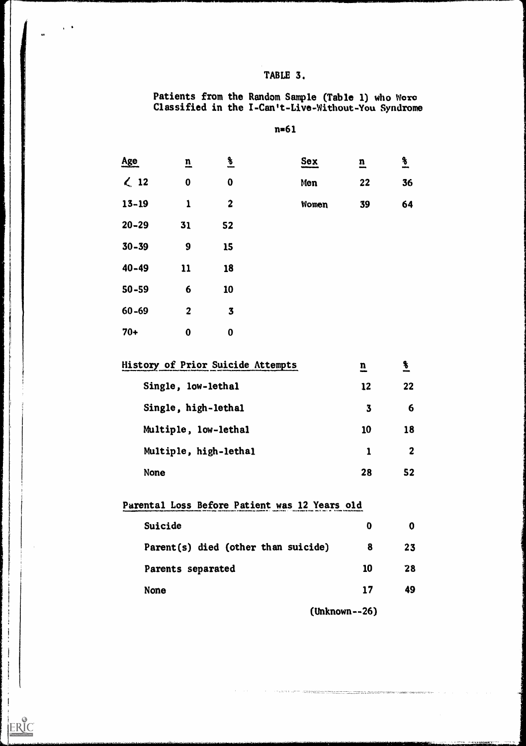## TABLE 3.

4\*

ERIC

 $\Delta \rightarrow 0$ 

Patients from the Random Sample (Table 1) who Woro Classified in the 1-Can't-Live-Without-You Syndrome

na61

| Age            | $\overline{\mathbf{n}}$ | $\frac{8}{2}$    | Sex   | $\overline{\mathbf{n}}$ | $\frac{9}{2}$ |  |
|----------------|-------------------------|------------------|-------|-------------------------|---------------|--|
| $\leqslant$ 12 | $\mathbf 0$             | $\boldsymbol{0}$ | Men   | 22                      | 36            |  |
| $13 - 19$      | $\mathbf{1}$            | $\boldsymbol{2}$ | Women | 39                      | 64            |  |
| $20 - 29$      | 31                      | 52               |       |                         |               |  |
| $30 - 39$      | $\boldsymbol{9}$        | 15               |       |                         |               |  |
| $40 - 49$      | 11                      | 18               |       |                         |               |  |
| $50 - 59$      | 6                       | 10               |       |                         |               |  |
| $60 - 69$      | $\overline{2}$          | $\mathbf{3}$     |       |                         |               |  |
| $70+$          | $\bf{0}$                | $\bf{0}$         |       |                         |               |  |

| <b>History of Prior Suicide Attempts</b> | n  | $\boldsymbol{\mathsf{s}}$ |  |
|------------------------------------------|----|---------------------------|--|
| Single, low-lethal                       | 12 | 22                        |  |
| Single, high-lethal                      | 3  | 6                         |  |
| Multiple, low-lethal                     | 10 | 18                        |  |
| Multiple, high-lethal                    |    | $\mathbf 2$               |  |
| <b>None</b>                              | 28 | 52                        |  |

| Parental Loss Before Patient was 12 Years old |    |    |  |
|-----------------------------------------------|----|----|--|
| Suicide                                       | 0  | 0  |  |
| Parent(s) died (other than suicide)           | 8  | 23 |  |
| Parents separated                             | 10 | 28 |  |
| <b>None</b>                                   | 17 | 49 |  |
| .                                             |    |    |  |

(Unknown--26)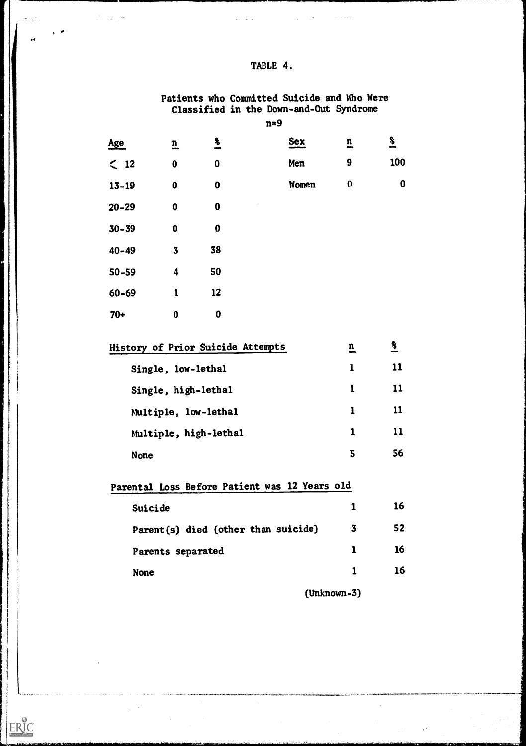|           |                         |                  | Classified in the Down-and-Out Syndrome<br>$n = 9$ |                         |                  |  |
|-----------|-------------------------|------------------|----------------------------------------------------|-------------------------|------------------|--|
| Age       | $\overline{\mathbf{n}}$ | $\frac{3}{2}$    | <b>Sex</b>                                         | $\overline{\mathbf{n}}$ | $\frac{3}{1}$    |  |
| $\leq$ 12 | $\boldsymbol{0}$        | $\boldsymbol{0}$ | Men                                                | $\boldsymbol{9}$        | 100              |  |
| $13 - 19$ | $\bf{0}$                | $\boldsymbol{0}$ | Women                                              | $\boldsymbol{0}$        | $\boldsymbol{0}$ |  |
| $20 - 29$ | $\bf{0}$                | $\boldsymbol{0}$ |                                                    |                         |                  |  |
| $30 - 39$ | $\boldsymbol{0}$        | $\boldsymbol{0}$ |                                                    |                         |                  |  |
| $40 - 49$ | $\mathbf 3$             | 38               |                                                    |                         |                  |  |
| $50 - 59$ | $\boldsymbol{4}$        | 50               |                                                    |                         |                  |  |
| 60-69     | $\mathbf{1}$            | 12               |                                                    |                         |                  |  |
| $70+$     | $\bf{0}$                | $\boldsymbol{0}$ |                                                    |                         |                  |  |

| History of Prior Suicide Attempts | n            | $\boldsymbol{\delta}$ |  |
|-----------------------------------|--------------|-----------------------|--|
| Single, low-lethal                | 1            | 11                    |  |
| Single, high-lethal               | $\mathbf{1}$ | 11                    |  |
| Multiple, low-lethal              | 1            | 11                    |  |
| Multiple, high-lethal             |              | 11                    |  |
| <b>None</b>                       | 5            | 56                    |  |

Parental Loss Before Patient was 12 Years old Suicide 1 16 Parent(s) died (other than suicide) 3 52 Parents separated 1 16 None  $1$  16

(Unknown-3)

### TABLE 4.

 $\mathcal{L}_{\mathcal{A}}$  and  $\mathcal{L}_{\mathcal{A}}$  are the set of the set of the set of  $\mathcal{A}$ 

 $\bar{z}$  ,  $\bar{z}$  ,  $\bar{z}$ 

 $\label{eq:2} \mathcal{L} = \frac{1}{2} \sum_{i=1}^n \mathcal{L}^i \left( \frac{1}{2} \sum_{i=1}^n \mathcal{L}^i \right) \mathcal{L}^i \left( \frac{1}{2} \sum_{i=1}^n \mathcal{L}^i \right)$ 

azatan l

 $**ERIC** **Area of by EIC**$ </u>

 $\frac{1}{2} \frac{1}{2} \frac{1}{2} \frac{1}{2} \frac{1}{2} \frac{1}{2} \frac{1}{2} \frac{1}{2} \frac{1}{2} \frac{1}{2} \frac{1}{2} \frac{1}{2} \frac{1}{2} \frac{1}{2} \frac{1}{2} \frac{1}{2} \frac{1}{2} \frac{1}{2} \frac{1}{2} \frac{1}{2} \frac{1}{2} \frac{1}{2} \frac{1}{2} \frac{1}{2} \frac{1}{2} \frac{1}{2} \frac{1}{2} \frac{1}{2} \frac{1}{2} \frac{1}{2} \frac{1}{2} \frac{$ 

Patients who Committed Suicide and Who Were